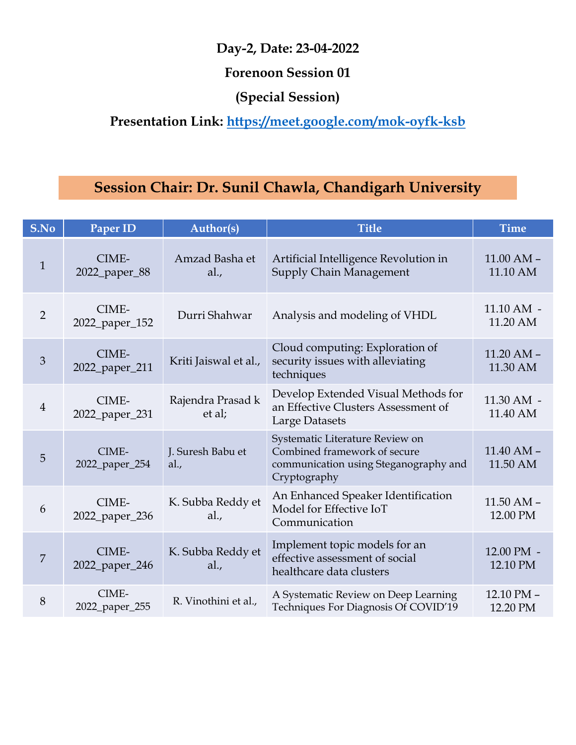| Day-2, Date: 23-04-2022<br><b>Forenoon Session 01</b><br>(Special Session)<br>Presentation Link: https://meet.google.com/mok-oyfk-ksb |                                                        |                             |                                                                                                                          |                            |
|---------------------------------------------------------------------------------------------------------------------------------------|--------------------------------------------------------|-----------------------------|--------------------------------------------------------------------------------------------------------------------------|----------------------------|
|                                                                                                                                       | Session Chair: Dr. Sunil Chawla, Chandigarh University |                             |                                                                                                                          |                            |
| S.No                                                                                                                                  | Paper ID                                               | Author(s)                   | <b>Title</b>                                                                                                             | <b>Time</b>                |
| $\mathbf{1}$                                                                                                                          | CIME-<br>2022_paper_88                                 | Amzad Basha et<br>al.,      | Artificial Intelligence Revolution in<br><b>Supply Chain Management</b>                                                  | $11.00$ AM $-$<br>11.10 AM |
| $\overline{2}$                                                                                                                        | CIME-<br>2022_paper_152                                | Durri Shahwar               | Analysis and modeling of VHDL                                                                                            | $11.10$ AM $-$<br>11.20 AM |
| $\mathfrak{Z}$                                                                                                                        | CIME-<br>2022_paper_211                                | Kriti Jaiswal et al.,       | Cloud computing: Exploration of<br>security issues with alleviating<br>techniques                                        | $11.20$ AM $-$<br>11.30 AM |
| $\overline{4}$                                                                                                                        | CIME-<br>2022_paper_231                                | Rajendra Prasad k<br>et al; | Develop Extended Visual Methods for<br>an Effective Clusters Assessment of<br>Large Datasets                             | 11.30 AM -<br>11.40 AM     |
| 5                                                                                                                                     | CIME-<br>2022_paper_254                                | J. Suresh Babu et<br>al.,   | Systematic Literature Review on<br>Combined framework of secure<br>communication using Steganography and<br>Cryptography | $11.40$ AM $-$<br>11.50 AM |
| 6                                                                                                                                     | CIME-<br>2022_paper_236                                | K. Subba Reddy et<br>al.,   | An Enhanced Speaker Identification<br>Model for Effective IoT<br>Communication                                           | $11.50$ AM $-$<br>12.00 PM |
| 7                                                                                                                                     | CIME-<br>2022_paper_246                                | K. Subba Reddy et<br>al.,   | Implement topic models for an<br>effective assessment of social<br>healthcare data clusters                              | 12.00 PM -<br>12.10 PM     |
| $8\phantom{1}$                                                                                                                        | CIME-<br>2022_paper_255                                | R. Vinothini et al.,        | A Systematic Review on Deep Learning<br>Techniques For Diagnosis Of COVID'19                                             | 12.10 PM -<br>12.20 PM     |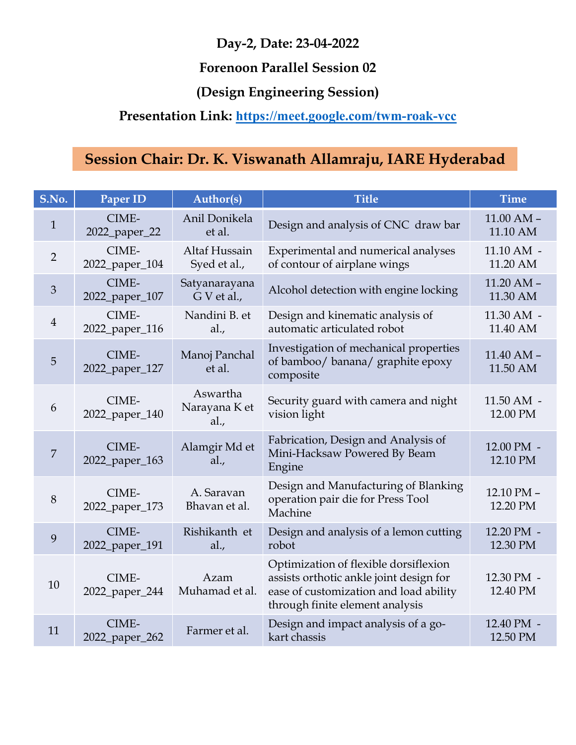#### Forenoon Parallel Session 02

# (Design Engineering Session)

## Presentation Link: https://meet.google.com/twm-roak-vcc

|                |                         |                                   | Day-2, Date: 23-04-2022                                                                                                                                       |                            |
|----------------|-------------------------|-----------------------------------|---------------------------------------------------------------------------------------------------------------------------------------------------------------|----------------------------|
|                |                         |                                   | <b>Forenoon Parallel Session 02</b>                                                                                                                           |                            |
|                |                         |                                   | (Design Engineering Session)                                                                                                                                  |                            |
|                |                         |                                   | <b>Presentation Link: https://meet.google.com/twm-roak-vcc</b>                                                                                                |                            |
|                |                         |                                   |                                                                                                                                                               |                            |
|                |                         |                                   | Session Chair: Dr. K. Viswanath Allamraju, IARE Hyderabad                                                                                                     |                            |
| S.No.          | Paper ID                | <b>Author(s)</b>                  | <b>Title</b>                                                                                                                                                  | <b>Time</b>                |
| $\mathbf{1}$   | CIME-<br>2022_paper_22  | Anil Donikela<br>et al.           | Design and analysis of CNC draw bar                                                                                                                           | $11.00$ AM $-$<br>11.10 AM |
| 2              | CIME-<br>2022_paper_104 | Altaf Hussain<br>Syed et al.,     | Experimental and numerical analyses<br>of contour of airplane wings                                                                                           | $11.10$ AM $-$<br>11.20 AM |
| 3              | CIME-<br>2022_paper_107 | Satyanarayana<br>$G$ V et al.,    | Alcohol detection with engine locking                                                                                                                         | $11.20$ AM $-$<br>11.30 AM |
| $\overline{4}$ | CIME-<br>2022_paper_116 | Nandini B. et<br>al.,             | Design and kinematic analysis of<br>automatic articulated robot                                                                                               | 11.30 AM -<br>11.40 AM     |
| 5              | CIME-<br>2022_paper_127 | Manoj Panchal<br>et al.           | Investigation of mechanical properties<br>of bamboo/ banana/ graphite epoxy<br>composite                                                                      | $11.40$ AM $-$<br>11.50 AM |
| 6              | CIME-<br>2022_paper_140 | Aswartha<br>Narayana K et<br>al., | Security guard with camera and night<br>vision light                                                                                                          | $11.50$ AM $-$<br>12.00 PM |
| 7              | CIME-<br>2022_paper_163 | Alamgir Md et<br>al.,             | Fabrication, Design and Analysis of<br>Mini-Hacksaw Powered By Beam<br>Engine                                                                                 | 12.00 PM -<br>12.10 PM     |
| 8              | CIME-<br>2022_paper_173 | A. Saravan<br>Bhavan et al.       | Design and Manufacturing of Blanking<br>operation pair die for Press Tool<br>Machine                                                                          | 12.10 PM -<br>12.20 PM     |
| 9              | CIME-<br>2022_paper_191 | Rishikanth et<br>al.,             | Design and analysis of a lemon cutting<br>robot                                                                                                               | 12.20 PM -<br>12.30 PM     |
| 10             | CIME-<br>2022_paper_244 | Azam<br>Muhamad et al.            | Optimization of flexible dorsiflexion<br>assists orthotic ankle joint design for<br>ease of customization and load ability<br>through finite element analysis | 12.30 PM -<br>12.40 PM     |
| 11             | CIME-<br>2022_paper_262 | Farmer et al.                     | Design and impact analysis of a go-<br>kart chassis                                                                                                           | 12.40 PM -<br>12.50 PM     |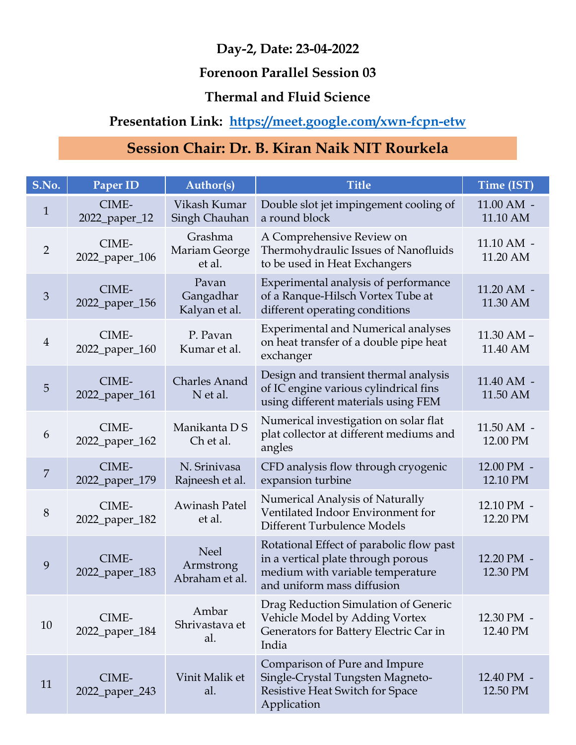#### Forenoon Parallel Session 03

#### Thermal and Fluid Science

## Presentation Link: https://meet.google.com/xwn-fcpn-etw

|                |                                                                                             |                                            | Day-2, Date: 23-04-2022                                                                                                                          |                                  |
|----------------|---------------------------------------------------------------------------------------------|--------------------------------------------|--------------------------------------------------------------------------------------------------------------------------------------------------|----------------------------------|
|                |                                                                                             |                                            | <b>Forenoon Parallel Session 03</b>                                                                                                              |                                  |
|                | <b>Thermal and Fluid Science</b><br>Presentation Link: https://meet.google.com/xwn-fcpn-etw |                                            |                                                                                                                                                  |                                  |
|                |                                                                                             |                                            |                                                                                                                                                  |                                  |
|                |                                                                                             |                                            | Session Chair: Dr. B. Kiran Naik NIT Rourkela                                                                                                    |                                  |
| S.No.          | Paper ID                                                                                    | <b>Author(s)</b>                           | <b>Title</b>                                                                                                                                     | Time (IST)                       |
| $\mathbf{1}$   | CIME-<br>2022_paper_12                                                                      | Vikash Kumar<br>Singh Chauhan              | Double slot jet impingement cooling of<br>a round block                                                                                          | $11.00 \text{ AM}$ -<br>11.10 AM |
| $\overline{2}$ | CIME-<br>2022_paper_106                                                                     | Grashma<br>Mariam George<br>et al.         | A Comprehensive Review on<br>Thermohydraulic Issues of Nanofluids<br>to be used in Heat Exchangers                                               | $11.10$ AM $-$<br>11.20 AM       |
| $\mathfrak{Z}$ | CIME-<br>2022_paper_156                                                                     | Pavan<br>Gangadhar<br>Kalyan et al.        | Experimental analysis of performance<br>of a Ranque-Hilsch Vortex Tube at<br>different operating conditions                                      | $11.20$ AM $-$<br>11.30 AM       |
| $\overline{4}$ | CIME-<br>2022_paper_160                                                                     | P. Pavan<br>Kumar et al.                   | <b>Experimental and Numerical analyses</b><br>on heat transfer of a double pipe heat<br>exchanger                                                | 11.30 AM -<br>11.40 AM           |
| 5 <sup>5</sup> | CIME-<br>2022_paper_161                                                                     | <b>Charles Anand</b><br>N et al.           | Design and transient thermal analysis<br>of IC engine various cylindrical fins<br>using different materials using FEM                            | $11.40$ AM $-$<br>11.50 AM       |
| 6              | CIME-<br>2022_paper_162                                                                     | Manikanta D S<br>Ch et al.                 | Numerical investigation on solar flat<br>plat collector at different mediums and<br>angles                                                       | 11.50 AM -<br>12.00 PM           |
| $\overline{7}$ | CIME-<br>2022_paper_179                                                                     | N. Srinivasa<br>Rajneesh et al.            | CFD analysis flow through cryogenic<br>expansion turbine                                                                                         | 12.00 PM -<br>12.10 PM           |
| 8              | CIME-<br>2022_paper_182                                                                     | Awinash Patel<br>et al.                    | Numerical Analysis of Naturally<br>Ventilated Indoor Environment for<br>Different Turbulence Models                                              | 12.10 PM -<br>12.20 PM           |
| 9              | CIME-<br>2022_paper_183                                                                     | <b>Neel</b><br>Armstrong<br>Abraham et al. | Rotational Effect of parabolic flow past<br>in a vertical plate through porous<br>medium with variable temperature<br>and uniform mass diffusion | 12.20 PM -<br>12.30 PM           |
| 10             | CIME-<br>2022_paper_184                                                                     | Ambar<br>Shrivastava et<br>al.             | Drag Reduction Simulation of Generic<br>Vehicle Model by Adding Vortex<br>Generators for Battery Electric Car in<br>India                        | 12.30 PM -<br>12.40 PM           |
| 11             | CIME-<br>2022_paper_243                                                                     | Vinit Malik et<br>al.                      | Comparison of Pure and Impure<br>Single-Crystal Tungsten Magneto-<br>Resistive Heat Switch for Space<br>Application                              | 12.40 PM -<br>12.50 PM           |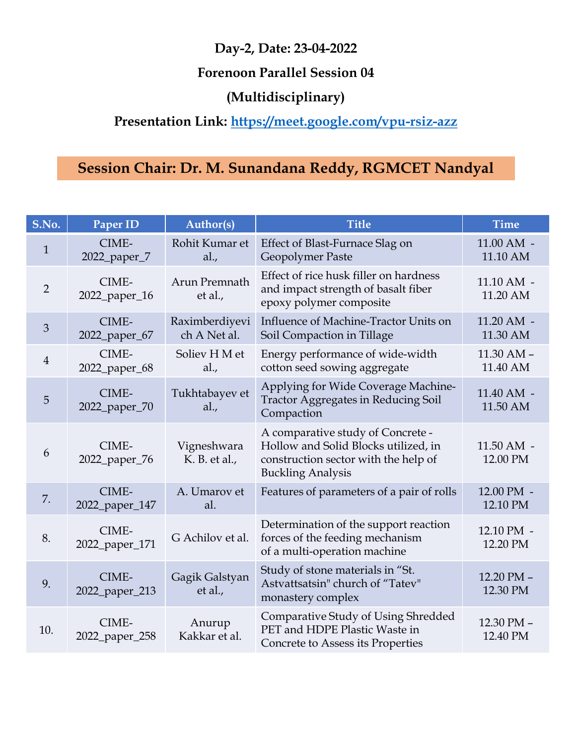#### Forenoon Parallel Session 04

## (Multidisciplinary)

## Presentation Link: https://meet.google.com/vpu-rsiz-azz

|                | Day-2, Date: 23-04-2022<br><b>Forenoon Parallel Session 04</b>                                                                          |                                |                                                                                                                                               |                                  |  |
|----------------|-----------------------------------------------------------------------------------------------------------------------------------------|--------------------------------|-----------------------------------------------------------------------------------------------------------------------------------------------|----------------------------------|--|
|                | (Multidisciplinary)<br>Presentation Link: https://meet.google.com/vpu-rsiz-azz<br>Session Chair: Dr. M. Sunandana Reddy, RGMCET Nandyal |                                |                                                                                                                                               |                                  |  |
|                |                                                                                                                                         |                                |                                                                                                                                               |                                  |  |
| S.No.          | Paper ID                                                                                                                                | Author(s)                      | <b>Title</b>                                                                                                                                  | <b>Time</b>                      |  |
| $\mathbf{1}$   | CIME-<br>2022_paper_7                                                                                                                   | Rohit Kumar et<br>al.,         | Effect of Blast-Furnace Slag on<br>Geopolymer Paste                                                                                           | $11.00 \text{ AM}$ -<br>11.10 AM |  |
| 2              | CIME-<br>2022_paper_16                                                                                                                  | Arun Premnath<br>et al.,       | Effect of rice husk filler on hardness<br>and impact strength of basalt fiber<br>epoxy polymer composite                                      | $11.10$ AM $-$<br>11.20 AM       |  |
| $\mathfrak{Z}$ | CIME-<br>2022_paper_67                                                                                                                  | Raximberdiyevi<br>ch A Net al. | Influence of Machine-Tractor Units on<br>Soil Compaction in Tillage                                                                           | 11.20 AM -<br>11.30 AM           |  |
| $\overline{4}$ | CIME-<br>2022_paper_68                                                                                                                  | Soliev H M et<br>al.,          | Energy performance of wide-width<br>cotton seed sowing aggregate                                                                              | $11.30$ AM $-$<br>11.40 AM       |  |
| $\overline{5}$ | CIME-<br>2022_paper_70                                                                                                                  | Tukhtabayev et<br>al.,         | Applying for Wide Coverage Machine-<br><b>Tractor Aggregates in Reducing Soil</b><br>Compaction                                               | 11.40 AM -<br>11.50 AM           |  |
| 6              | CIME-<br>2022_paper_76                                                                                                                  | Vigneshwara<br>K. B. et al.,   | A comparative study of Concrete -<br>Hollow and Solid Blocks utilized, in<br>construction sector with the help of<br><b>Buckling Analysis</b> | $11.50$ AM $-$<br>12.00 PM       |  |
| 7.             | CIME-<br>2022_paper_147                                                                                                                 | A. Umarov et<br>al.            | Features of parameters of a pair of rolls                                                                                                     | 12.00 PM -<br>12.10 PM           |  |
| 8.             | CIME-<br>2022_paper_171                                                                                                                 | G Achilov et al.               | Determination of the support reaction<br>forces of the feeding mechanism<br>of a multi-operation machine                                      | 12.10 PM -<br>12.20 PM           |  |
| 9.             | CIME-<br>2022_paper_213                                                                                                                 | Gagik Galstyan<br>et al.,      | Study of stone materials in "St.<br>Astvattsatsin" church of "Tatev"<br>monastery complex                                                     | 12.20 PM -<br>12.30 PM           |  |
| 10.            | CIME-<br>2022_paper_258                                                                                                                 | Anurup<br>Kakkar et al.        | Comparative Study of Using Shredded<br>PET and HDPE Plastic Waste in<br>Concrete to Assess its Properties                                     | 12.30 PM -<br>12.40 PM           |  |